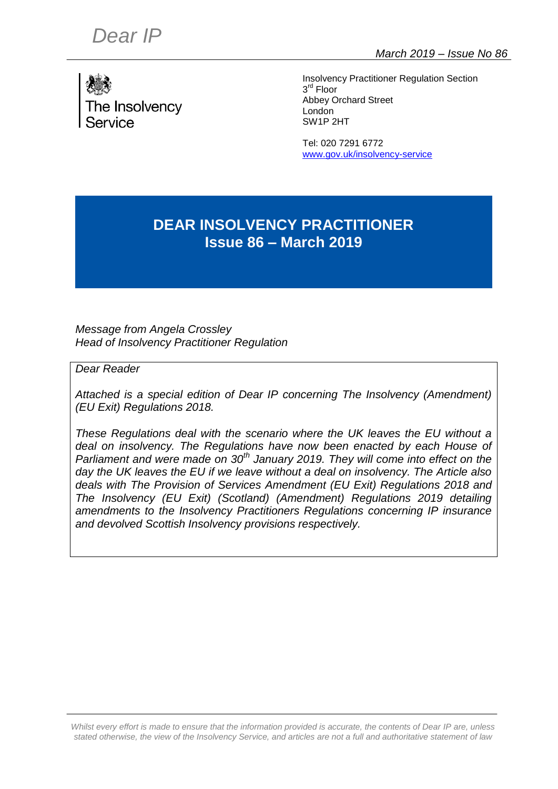

Insolvency Practitioner Regulation Section 3 rd Floor Abbey Orchard Street London SW1P 2HT

Tel: 020 7291 6772 [www.gov.uk/insolvency-service](http://www.gov.uk/insolvency-service)

## **DEAR INSOLVENCY PRACTITIONER Issue 86 – March 2019**

*Message from Angela Crossley Head of Insolvency Practitioner Regulation*

*Dear Reader*

*Attached is a special edition of Dear IP concerning The Insolvency (Amendment) (EU Exit) Regulations 2018.*

*These Regulations deal with the scenario where the UK leaves the EU without a*  deal on insolvency. The Regulations have now been enacted by each House of *Parliament and were made on 30th January 2019. They will come into effect on the day the UK leaves the EU if we leave without a deal on insolvency. The Article also deals with The Provision of Services Amendment (EU Exit) Regulations 2018 and The Insolvency (EU Exit) (Scotland) (Amendment) Regulations 2019 detailing amendments to the Insolvency Practitioners Regulations concerning IP insurance and devolved Scottish Insolvency provisions respectively.*

*Whilst every effort is made to ensure that the information provided is accurate, the contents of Dear IP are, unless stated otherwise, the view of the Insolvency Service, and articles are not a full and authoritative statement of law*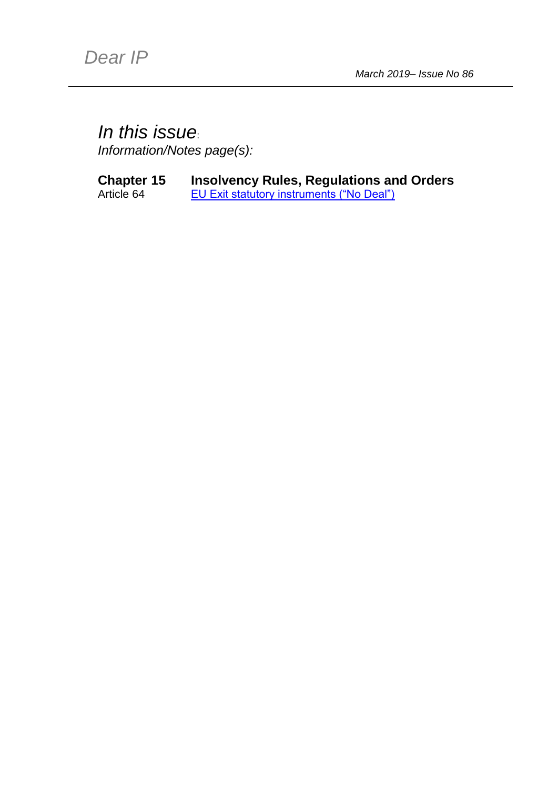## <span id="page-1-0"></span>*In this issue*:

*Information/Notes page(s):*

## **Chapter 15 Insolvency Rules, Regulations and Orders**

Article 64 **[EU Exit statutory instruments \("No Deal"\)](#page-2-0)**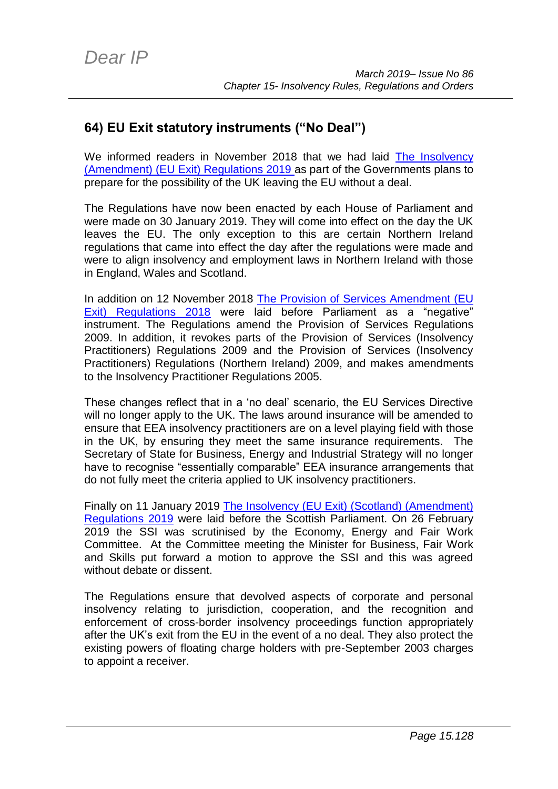## <span id="page-2-0"></span>**64) EU Exit statutory instruments ("No Deal")**

We informed readers in November 2018 that we had laid [The Insolvency](http://www.legislation.gov.uk/uksi/2019/146/contents/made)  [\(Amendment\) \(EU Exit\) Regulations 2019 a](http://www.legislation.gov.uk/uksi/2019/146/contents/made)s part of the Governments plans to prepare for the possibility of the UK leaving the EU without a deal.

The Regulations have now been enacted by each House of Parliament and were made on 30 January 2019. They will come into effect on the day the UK leaves the EU. The only exception to this are certain Northern Ireland regulations that came into effect the day after the regulations were made and were to align insolvency and employment laws in Northern Ireland with those in England, Wales and Scotland.

In addition on 12 November 2018 [The Provision of Services Amendment \(EU](https://assets.publishing.service.gov.uk/media/5be9a69540f0b667b8089f37/The_Provision_of_Services__Amendment___EU_Exit__Regulations_2018.pdf)  [Exit\) Regulations 2018](https://assets.publishing.service.gov.uk/media/5be9a69540f0b667b8089f37/The_Provision_of_Services__Amendment___EU_Exit__Regulations_2018.pdf) were laid before Parliament as a "negative" instrument. The Regulations amend the Provision of Services Regulations 2009. In addition, it revokes parts of the Provision of Services (Insolvency Practitioners) Regulations 2009 and the Provision of Services (Insolvency Practitioners) Regulations (Northern Ireland) 2009, and makes amendments to the Insolvency Practitioner Regulations 2005.

These changes reflect that in a 'no deal' scenario, the EU Services Directive will no longer apply to the UK. The laws around insurance will be amended to ensure that EEA insolvency practitioners are on a level playing field with those in the UK, by ensuring they meet the same insurance requirements. The Secretary of State for Business, Energy and Industrial Strategy will no longer have to recognise "essentially comparable" EEA insurance arrangements that do not fully meet the criteria applied to UK insolvency practitioners.

Finally on 11 January 2019 [The Insolvency \(EU Exit\) \(Scotland\) \(Amendment\)](http://www.legislation.gov.uk/sdsi/2019/9780111040447)  [Regulations 2019](http://www.legislation.gov.uk/sdsi/2019/9780111040447) were laid before the Scottish Parliament. On 26 February 2019 the SSI was scrutinised by the Economy, Energy and Fair Work Committee. At the Committee meeting the Minister for Business, Fair Work and Skills put forward a motion to approve the SSI and this was agreed without debate or dissent.

The Regulations ensure that devolved aspects of corporate and personal insolvency relating to jurisdiction, cooperation, and the recognition and enforcement of cross-border insolvency proceedings function appropriately after the UK's exit from the EU in the event of a no deal. They also protect the existing powers of floating charge holders with pre-September 2003 charges to appoint a receiver.